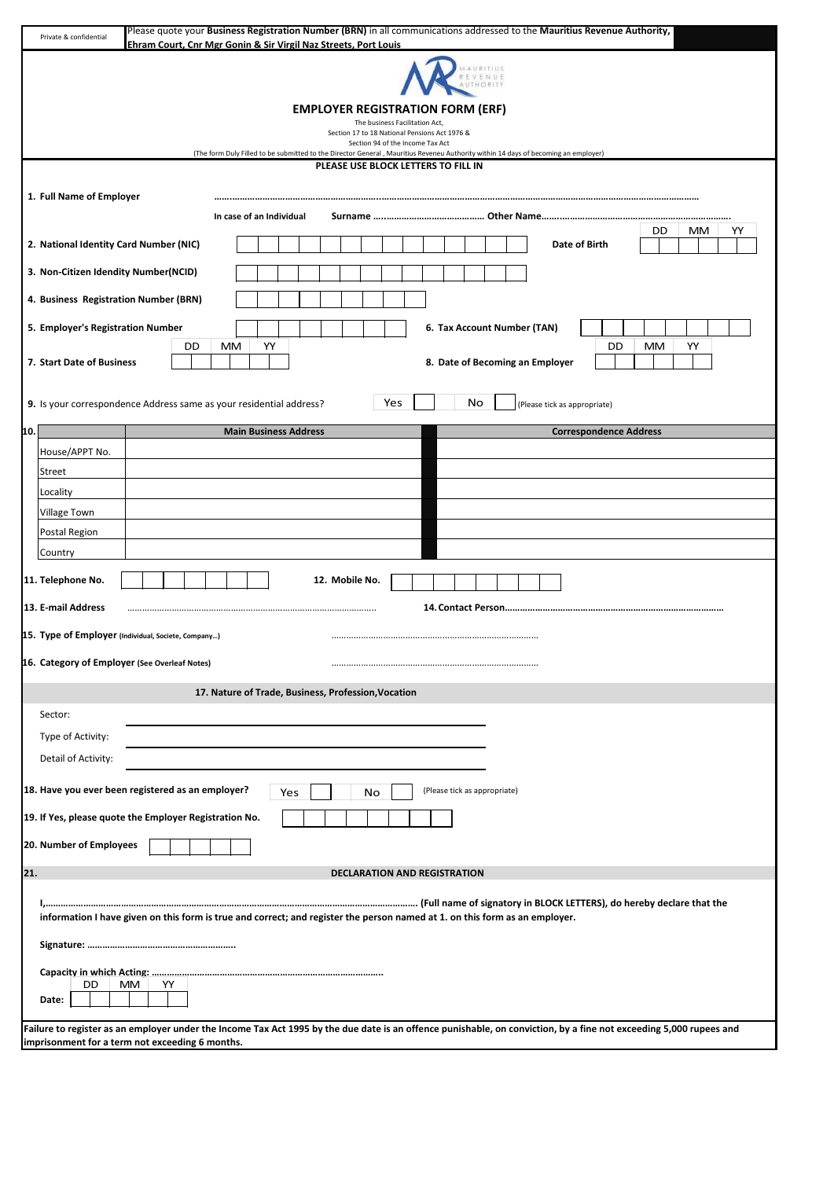| Please quote your Business Registration Number (BRN) in all communications addressed to the Mauritius Revenue Authority,<br>Private & confidential<br>Ehram Court, Cnr Mgr Gonin & Sir Virgil Naz Streets, Port Louis |  |  |
|-----------------------------------------------------------------------------------------------------------------------------------------------------------------------------------------------------------------------|--|--|
|                                                                                                                                                                                                                       |  |  |
|                                                                                                                                                                                                                       |  |  |
| <b>EMPLOYER REGISTRATION FORM (ERF)</b>                                                                                                                                                                               |  |  |
| The business Facilitation Act,<br>Section 17 to 18 National Pensions Act 1976 &                                                                                                                                       |  |  |
| Section 94 of the Income Tax Act                                                                                                                                                                                      |  |  |
| (The form Duly Filled to be submitted to the Director General, Mauritius Reveneu Authority within 14 days of becoming an employer)<br>PLEASE USE BLOCK LETTERS TO FILL IN                                             |  |  |
|                                                                                                                                                                                                                       |  |  |
| 1. Full Name of Employer                                                                                                                                                                                              |  |  |
| In case of an Individual                                                                                                                                                                                              |  |  |
| YY<br>DD<br>МM<br>2. National Identity Card Number (NIC)<br>Date of Birth                                                                                                                                             |  |  |
| 3. Non-Citizen Idendity Number(NCID)                                                                                                                                                                                  |  |  |
| 4. Business Registration Number (BRN)                                                                                                                                                                                 |  |  |
| 5. Employer's Registration Number<br>6. Tax Account Number (TAN)                                                                                                                                                      |  |  |
| DD<br>МM<br>YY<br>DD<br>MM<br>YY                                                                                                                                                                                      |  |  |
| 7. Start Date of Business<br>8. Date of Becoming an Employer                                                                                                                                                          |  |  |
| Yes<br>No<br>9. Is your correspondence Address same as your residential address?<br>(Please tick as appropriate)                                                                                                      |  |  |
| <b>Main Business Address</b><br><b>Correspondence Address</b><br>10.                                                                                                                                                  |  |  |
| House/APPT No.                                                                                                                                                                                                        |  |  |
| Street                                                                                                                                                                                                                |  |  |
| Locality                                                                                                                                                                                                              |  |  |
| <b>Village Town</b>                                                                                                                                                                                                   |  |  |
|                                                                                                                                                                                                                       |  |  |
| Postal Region                                                                                                                                                                                                         |  |  |
| Country                                                                                                                                                                                                               |  |  |
| 11. Telephone No.<br>12. Mobile No.                                                                                                                                                                                   |  |  |
| 13. E-mail Address                                                                                                                                                                                                    |  |  |
| 15. Type of Employer (Individual, Societe, Company)                                                                                                                                                                   |  |  |
| 16. Category of Employer (See Overleaf Notes)                                                                                                                                                                         |  |  |
|                                                                                                                                                                                                                       |  |  |
| 17. Nature of Trade, Business, Profession, Vocation                                                                                                                                                                   |  |  |
| Sector:                                                                                                                                                                                                               |  |  |
| Type of Activity:                                                                                                                                                                                                     |  |  |
| Detail of Activity:                                                                                                                                                                                                   |  |  |
| 18. Have you ever been registered as an employer?<br>(Please tick as appropriate)<br>No<br>Yes                                                                                                                        |  |  |
| 19. If Yes, please quote the Employer Registration No.                                                                                                                                                                |  |  |
| 20. Number of Employees                                                                                                                                                                                               |  |  |
| 21.<br><b>DECLARATION AND REGISTRATION</b>                                                                                                                                                                            |  |  |
|                                                                                                                                                                                                                       |  |  |
| information I have given on this form is true and correct; and register the person named at 1. on this form as an employer.                                                                                           |  |  |
|                                                                                                                                                                                                                       |  |  |
|                                                                                                                                                                                                                       |  |  |
| DD<br>МM<br>YY                                                                                                                                                                                                        |  |  |
| Date:                                                                                                                                                                                                                 |  |  |
| Failure to register as an employer under the Income Tax Act 1995 by the due date is an offence punishable, on conviction, by a fine not exceeding 5,000 rupees and<br>imprisonment for a term not exceeding 6 months. |  |  |